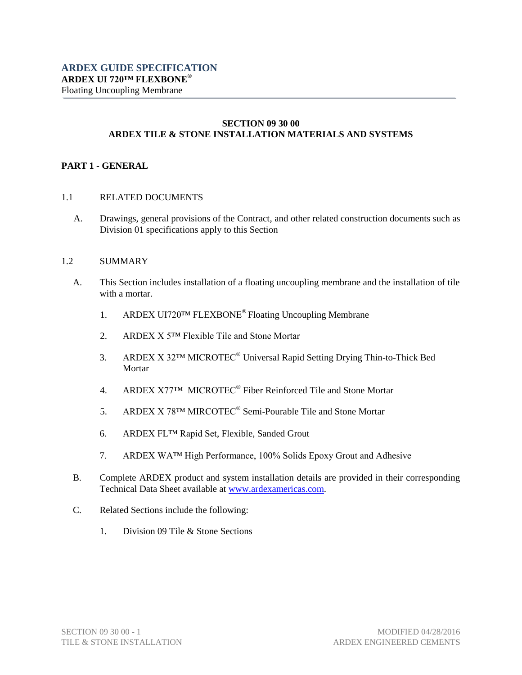## **SECTION 09 30 00 ARDEX TILE & STONE INSTALLATION MATERIALS AND SYSTEMS**

## **PART 1 - GENERAL**

- 1.1 RELATED DOCUMENTS
	- A. Drawings, general provisions of the Contract, and other related construction documents such as Division 01 specifications apply to this Section

#### 1.2 SUMMARY

- A. This Section includes installation of a floating uncoupling membrane and the installation of tile with a mortar.
	- 1. ARDEX UI720™ FLEXBONE® Floating Uncoupling Membrane
	- 2. ARDEX X 5™ Flexible Tile and Stone Mortar
	- 3. ARDEX X 32™ MICROTEC® Universal Rapid Setting Drying Thin-to-Thick Bed Mortar
	- 4. ARDEX X77<sup>TM</sup> MICROTEC<sup>®</sup> Fiber Reinforced Tile and Stone Mortar
	- 5. ARDEX X 78™ MIRCOTEC<sup>®</sup> Semi-Pourable Tile and Stone Mortar
	- 6. ARDEX FL™ Rapid Set, Flexible, Sanded Grout
	- 7. ARDEX WA™ High Performance, 100% Solids Epoxy Grout and Adhesive
- B. Complete ARDEX product and system installation details are provided in their corresponding Technical Data Sheet available at [www.ardexamericas.com.](http://www.ardexamericas.com/)
- C. Related Sections include the following:
	- 1. Division 09 Tile & Stone Sections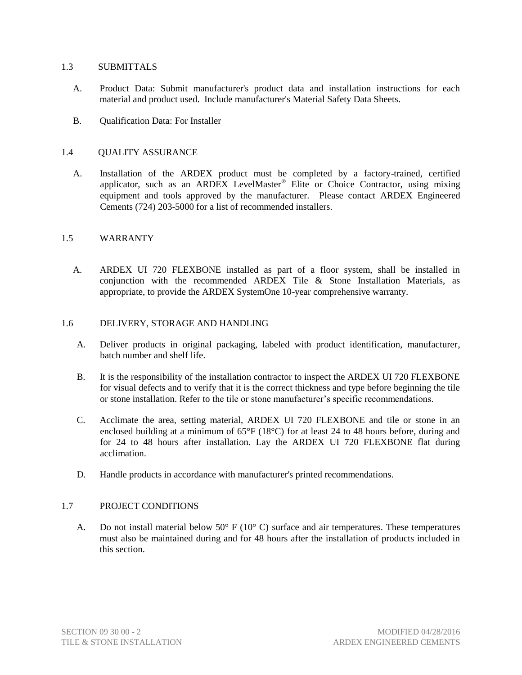## 1.3 SUBMITTALS

- A. Product Data: Submit manufacturer's product data and installation instructions for each material and product used. Include manufacturer's Material Safety Data Sheets.
- B. Qualification Data: For Installer

## 1.4 QUALITY ASSURANCE

A. Installation of the ARDEX product must be completed by a factory-trained, certified applicator, such as an ARDEX LevelMaster® Elite or Choice Contractor, using mixing equipment and tools approved by the manufacturer. Please contact ARDEX Engineered Cements (724) 203-5000 for a list of recommended installers.

## 1.5 WARRANTY

A. ARDEX UI 720 FLEXBONE installed as part of a floor system, shall be installed in conjunction with the recommended ARDEX Tile & Stone Installation Materials, as appropriate, to provide the ARDEX SystemOne 10-year comprehensive warranty.

## 1.6 DELIVERY, STORAGE AND HANDLING

- A. Deliver products in original packaging, labeled with product identification, manufacturer, batch number and shelf life.
- B. It is the responsibility of the installation contractor to inspect the ARDEX UI 720 FLEXBONE for visual defects and to verify that it is the correct thickness and type before beginning the tile or stone installation. Refer to the tile or stone manufacturer's specific recommendations.
- C. Acclimate the area, setting material, ARDEX UI 720 FLEXBONE and tile or stone in an enclosed building at a minimum of 65°F (18°C) for at least 24 to 48 hours before, during and for 24 to 48 hours after installation. Lay the ARDEX UI 720 FLEXBONE flat during acclimation.
- D. Handle products in accordance with manufacturer's printed recommendations.

# 1.7 PROJECT CONDITIONS

A. Do not install material below 50 $\degree$  F (10 $\degree$  C) surface and air temperatures. These temperatures must also be maintained during and for 48 hours after the installation of products included in this section.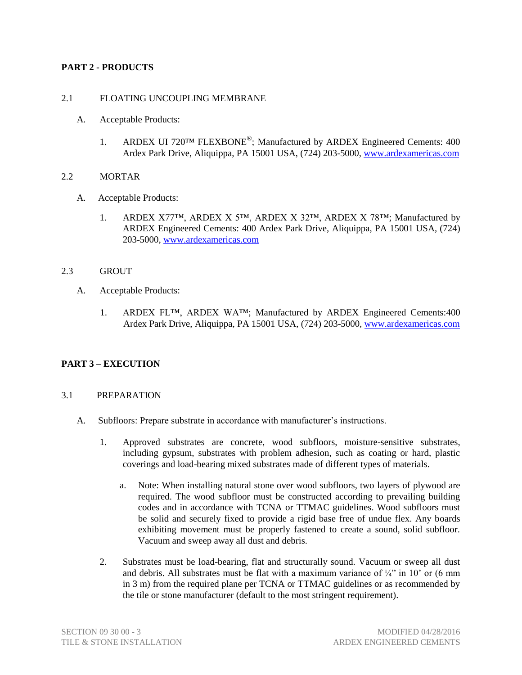# **PART 2 - PRODUCTS**

# 2.1 FLOATING UNCOUPLING MEMBRANE

- A. Acceptable Products:
	- 1. ARDEX UI 720TM FLEXBONE<sup>®</sup>; Manufactured by ARDEX Engineered Cements: 400 Ardex Park Drive, Aliquippa, PA 15001 USA, (724) 203-5000[, www.ardexamericas.com](http://www.ardexamericas.com/)

## 2.2 MORTAR

- A. Acceptable Products:
	- 1. ARDEX X77™, ARDEX X 5™, ARDEX X 32™, ARDEX X 78™; Manufactured by ARDEX Engineered Cements: 400 Ardex Park Drive, Aliquippa, PA 15001 USA, (724) 203-5000, [www.ardexamericas.com](http://www.ardexamericas.com/)

## 2.3 GROUT

- A. Acceptable Products:
	- 1. ARDEX FL<sup>™</sup>, ARDEX WA™; Manufactured by ARDEX Engineered Cements:400 Ardex Park Drive, Aliquippa, PA 15001 USA, (724) 203-5000, [www.ardexamericas.com](http://www.ardexamericas.com/)

# **PART 3 – EXECUTION**

## 3.1 PREPARATION

- A. Subfloors: Prepare substrate in accordance with manufacturer's instructions.
	- 1. Approved substrates are concrete, wood subfloors, moisture-sensitive substrates, including gypsum, substrates with problem adhesion, such as coating or hard, plastic coverings and load-bearing mixed substrates made of different types of materials.
		- a. Note: When installing natural stone over wood subfloors, two layers of plywood are required. The wood subfloor must be constructed according to prevailing building codes and in accordance with TCNA or TTMAC guidelines. Wood subfloors must be solid and securely fixed to provide a rigid base free of undue flex. Any boards exhibiting movement must be properly fastened to create a sound, solid subfloor. Vacuum and sweep away all dust and debris.
	- 2. Substrates must be load-bearing, flat and structurally sound. Vacuum or sweep all dust and debris. All substrates must be flat with a maximum variance of  $\frac{1}{4}$ " in 10' or (6 mm in 3 m) from the required plane per TCNA or TTMAC guidelines or as recommended by the tile or stone manufacturer (default to the most stringent requirement).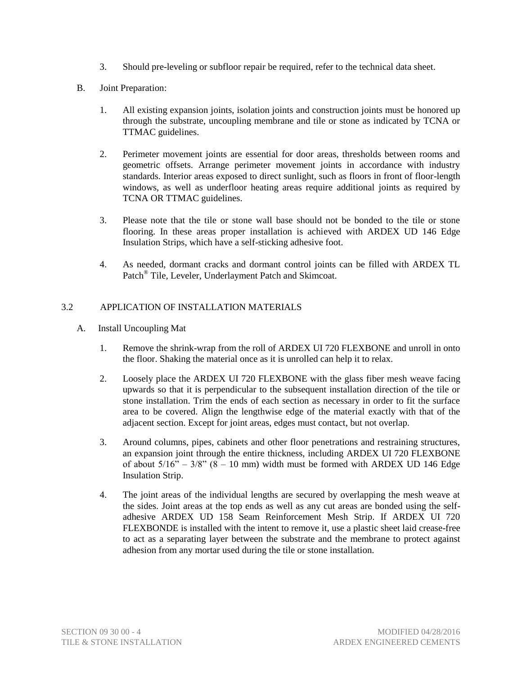- 3. Should pre-leveling or subfloor repair be required, refer to the technical data sheet.
- B. Joint Preparation:
	- 1. All existing expansion joints, isolation joints and construction joints must be honored up through the substrate, uncoupling membrane and tile or stone as indicated by TCNA or TTMAC guidelines.
	- 2. Perimeter movement joints are essential for door areas, thresholds between rooms and geometric offsets. Arrange perimeter movement joints in accordance with industry standards. Interior areas exposed to direct sunlight, such as floors in front of floor-length windows, as well as underfloor heating areas require additional joints as required by TCNA OR TTMAC guidelines.
	- 3. Please note that the tile or stone wall base should not be bonded to the tile or stone flooring. In these areas proper installation is achieved with ARDEX UD 146 Edge Insulation Strips, which have a self-sticking adhesive foot.
	- 4. As needed, dormant cracks and dormant control joints can be filled with ARDEX TL Patch<sup>®</sup> Tile, Leveler, Underlayment Patch and Skimcoat.

# 3.2 APPLICATION OF INSTALLATION MATERIALS

- A. Install Uncoupling Mat
	- 1. Remove the shrink-wrap from the roll of ARDEX UI 720 FLEXBONE and unroll in onto the floor. Shaking the material once as it is unrolled can help it to relax.
	- 2. Loosely place the ARDEX UI 720 FLEXBONE with the glass fiber mesh weave facing upwards so that it is perpendicular to the subsequent installation direction of the tile or stone installation. Trim the ends of each section as necessary in order to fit the surface area to be covered. Align the lengthwise edge of the material exactly with that of the adjacent section. Except for joint areas, edges must contact, but not overlap.
	- 3. Around columns, pipes, cabinets and other floor penetrations and restraining structures, an expansion joint through the entire thickness, including ARDEX UI 720 FLEXBONE of about  $5/16" - 3/8"$  ( $8 - 10$  mm) width must be formed with ARDEX UD 146 Edge Insulation Strip.
	- 4. The joint areas of the individual lengths are secured by overlapping the mesh weave at the sides. Joint areas at the top ends as well as any cut areas are bonded using the selfadhesive ARDEX UD 158 Seam Reinforcement Mesh Strip. If ARDEX UI 720 FLEXBONDE is installed with the intent to remove it, use a plastic sheet laid crease-free to act as a separating layer between the substrate and the membrane to protect against adhesion from any mortar used during the tile or stone installation.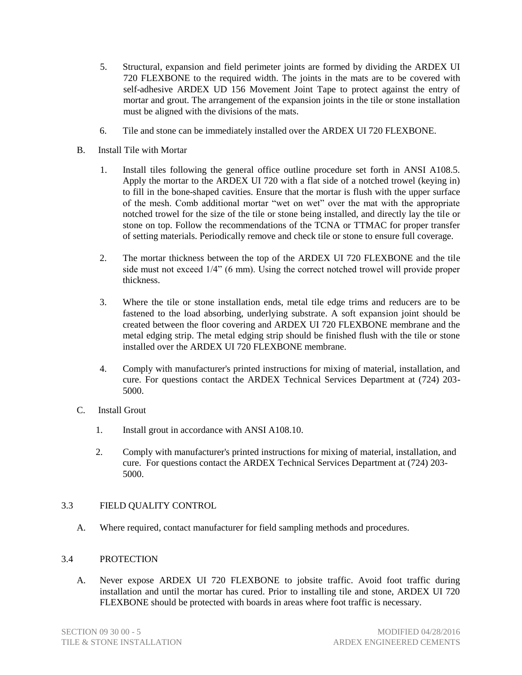- 5. Structural, expansion and field perimeter joints are formed by dividing the ARDEX UI 720 FLEXBONE to the required width. The joints in the mats are to be covered with self-adhesive ARDEX UD 156 Movement Joint Tape to protect against the entry of mortar and grout. The arrangement of the expansion joints in the tile or stone installation must be aligned with the divisions of the mats.
- 6. Tile and stone can be immediately installed over the ARDEX UI 720 FLEXBONE.
- B. Install Tile with Mortar
	- 1. Install tiles following the general office outline procedure set forth in ANSI A108.5. Apply the mortar to the ARDEX UI 720 with a flat side of a notched trowel (keying in) to fill in the bone-shaped cavities. Ensure that the mortar is flush with the upper surface of the mesh. Comb additional mortar "wet on wet" over the mat with the appropriate notched trowel for the size of the tile or stone being installed, and directly lay the tile or stone on top. Follow the recommendations of the TCNA or TTMAC for proper transfer of setting materials. Periodically remove and check tile or stone to ensure full coverage.
	- 2. The mortar thickness between the top of the ARDEX UI 720 FLEXBONE and the tile side must not exceed 1/4" (6 mm). Using the correct notched trowel will provide proper thickness.
	- 3. Where the tile or stone installation ends, metal tile edge trims and reducers are to be fastened to the load absorbing, underlying substrate. A soft expansion joint should be created between the floor covering and ARDEX UI 720 FLEXBONE membrane and the metal edging strip. The metal edging strip should be finished flush with the tile or stone installed over the ARDEX UI 720 FLEXBONE membrane.
	- 4. Comply with manufacturer's printed instructions for mixing of material, installation, and cure. For questions contact the ARDEX Technical Services Department at (724) 203- 5000.
- C. Install Grout
	- 1. Install grout in accordance with ANSI A108.10.
	- 2. Comply with manufacturer's printed instructions for mixing of material, installation, and cure. For questions contact the ARDEX Technical Services Department at (724) 203- 5000.

## 3.3 FIELD QUALITY CONTROL

A. Where required, contact manufacturer for field sampling methods and procedures.

## 3.4 PROTECTION

A. Never expose ARDEX UI 720 FLEXBONE to jobsite traffic. Avoid foot traffic during installation and until the mortar has cured. Prior to installing tile and stone, ARDEX UI 720 FLEXBONE should be protected with boards in areas where foot traffic is necessary.